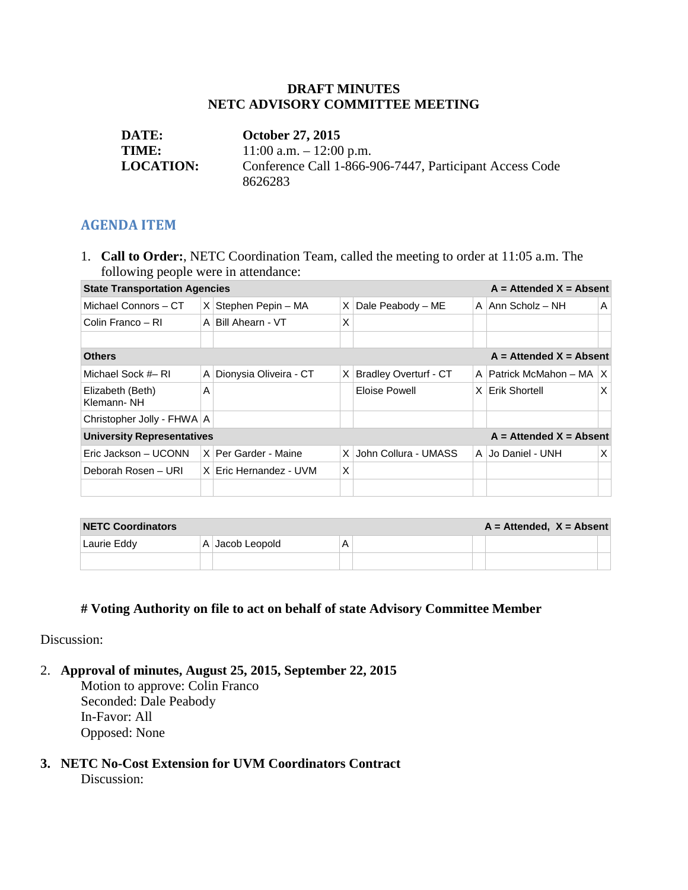#### **DRAFT MINUTES NETC ADVISORY COMMITTEE MEETING**

| <b>DATE:</b>     | <b>October 27, 2015</b>                                 |
|------------------|---------------------------------------------------------|
| <b>TIME:</b>     | $11:00$ a.m. $-12:00$ p.m.                              |
| <b>LOCATION:</b> | Conference Call 1-866-906-7447, Participant Access Code |
|                  | 8626283                                                 |

#### **AGENDA ITEM**

1. **Call to Order:**, NETC Coordination Team, called the meeting to order at 11:05 a.m. The following people were in attendance:

| <b>State Transportation Agencies</b>                             |   |                        |            |                              |          | $A =$ Attended $X =$ Absent |     |
|------------------------------------------------------------------|---|------------------------|------------|------------------------------|----------|-----------------------------|-----|
| Michael Connors - CT                                             |   | $X$ Stephen Pepin – MA |            | $X$ Dale Peabody – ME        |          | A $ Ann Scholz - NH$        | A   |
| Colin Franco – RI                                                |   | A Bill Ahearn - VT     | X          |                              |          |                             |     |
|                                                                  |   |                        |            |                              |          |                             |     |
| $A =$ Attended $X =$ Absent<br><b>Others</b>                     |   |                        |            |                              |          |                             |     |
| Michael Sock #– RI                                               | A | Dionysia Oliveira - CT | X          | <b>Bradley Overturf - CT</b> | A        | Patrick McMahon - MA        | ΙX. |
| Elizabeth (Beth)<br>Klemann-NH                                   | A |                        |            | Eloise Powell                | $\times$ | Erik Shortell               | X   |
| Christopher Jolly - FHWA A                                       |   |                        |            |                              |          |                             |     |
| $A =$ Attended $X =$ Absent<br><b>University Representatives</b> |   |                        |            |                              |          |                             |     |
| Eric Jackson – UCONN                                             |   | X   Per Garder - Maine | $\times$ 1 | John Collura - UMASS         |          | A Jo Daniel - UNH           | X   |
| Deborah Rosen - URI                                              |   | X Eric Hernandez - UVM | X          |                              |          |                             |     |
|                                                                  |   |                        |            |                              |          |                             |     |

| <b>NETC Coordinators</b> |  |                  |  | $A =$ Attended, $X =$ Absent |  |  |
|--------------------------|--|------------------|--|------------------------------|--|--|
| Laurie Eddy              |  | A  Jacob Leopold |  |                              |  |  |
|                          |  |                  |  |                              |  |  |

### **# Voting Authority on file to act on behalf of state Advisory Committee Member**

Discussion:

2. **Approval of minutes, August 25, 2015, September 22, 2015**

Motion to approve: Colin Franco Seconded: Dale Peabody In-Favor: All Opposed: None

**3. NETC No-Cost Extension for UVM Coordinators Contract** Discussion: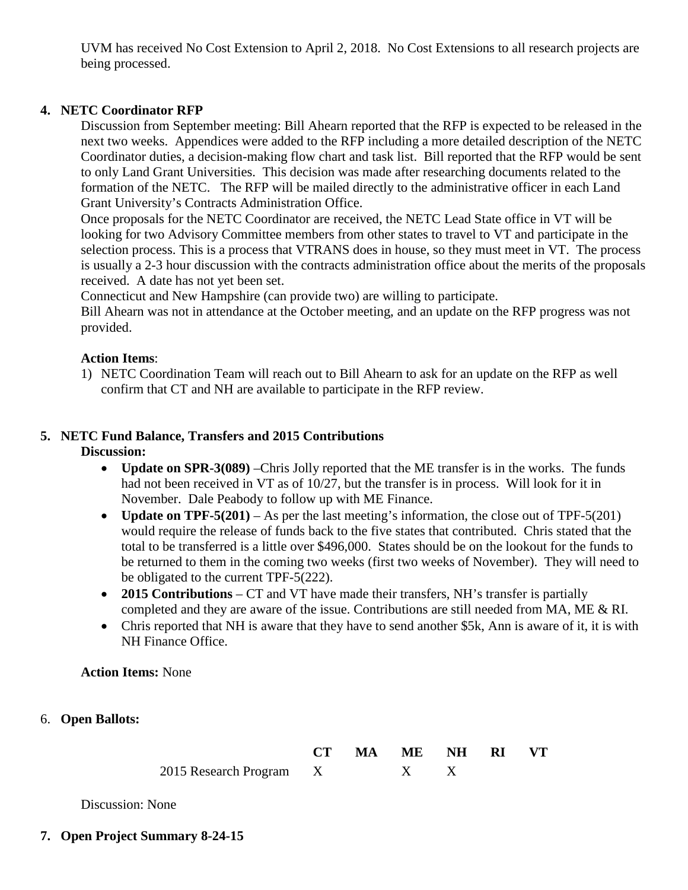UVM has received No Cost Extension to April 2, 2018. No Cost Extensions to all research projects are being processed.

### **4. NETC Coordinator RFP**

Discussion from September meeting: Bill Ahearn reported that the RFP is expected to be released in the next two weeks. Appendices were added to the RFP including a more detailed description of the NETC Coordinator duties, a decision-making flow chart and task list. Bill reported that the RFP would be sent to only Land Grant Universities. This decision was made after researching documents related to the formation of the NETC. The RFP will be mailed directly to the administrative officer in each Land Grant University's Contracts Administration Office.

Once proposals for the NETC Coordinator are received, the NETC Lead State office in VT will be looking for two Advisory Committee members from other states to travel to VT and participate in the selection process. This is a process that VTRANS does in house, so they must meet in VT. The process is usually a 2-3 hour discussion with the contracts administration office about the merits of the proposals received. A date has not yet been set.

Connecticut and New Hampshire (can provide two) are willing to participate.

Bill Ahearn was not in attendance at the October meeting, and an update on the RFP progress was not provided.

### **Action Items**:

1) NETC Coordination Team will reach out to Bill Ahearn to ask for an update on the RFP as well confirm that CT and NH are available to participate in the RFP review.

### **5. NETC Fund Balance, Transfers and 2015 Contributions**

**Discussion:**

- **Update on SPR-3(089)** –Chris Jolly reported that the ME transfer is in the works. The funds had not been received in VT as of 10/27, but the transfer is in process. Will look for it in November. Dale Peabody to follow up with ME Finance.
- **Update on TPF-5(201)** As per the last meeting's information, the close out of TPF-5(201) would require the release of funds back to the five states that contributed. Chris stated that the total to be transferred is a little over \$496,000. States should be on the lookout for the funds to be returned to them in the coming two weeks (first two weeks of November). They will need to be obligated to the current TPF-5(222).
- **2015 Contributions** CT and VT have made their transfers, NH's transfer is partially completed and they are aware of the issue. Contributions are still needed from MA, ME & RI.
- Chris reported that NH is aware that they have to send another \$5k. Ann is aware of it, it is with NH Finance Office.

**Action Items:** None

### 6. **Open Ballots:**

|                         | CT MA ME NH RI VT |  |  |
|-------------------------|-------------------|--|--|
| 2015 Research Program X |                   |  |  |

Discussion: None

### **7. Open Project Summary 8-24-15**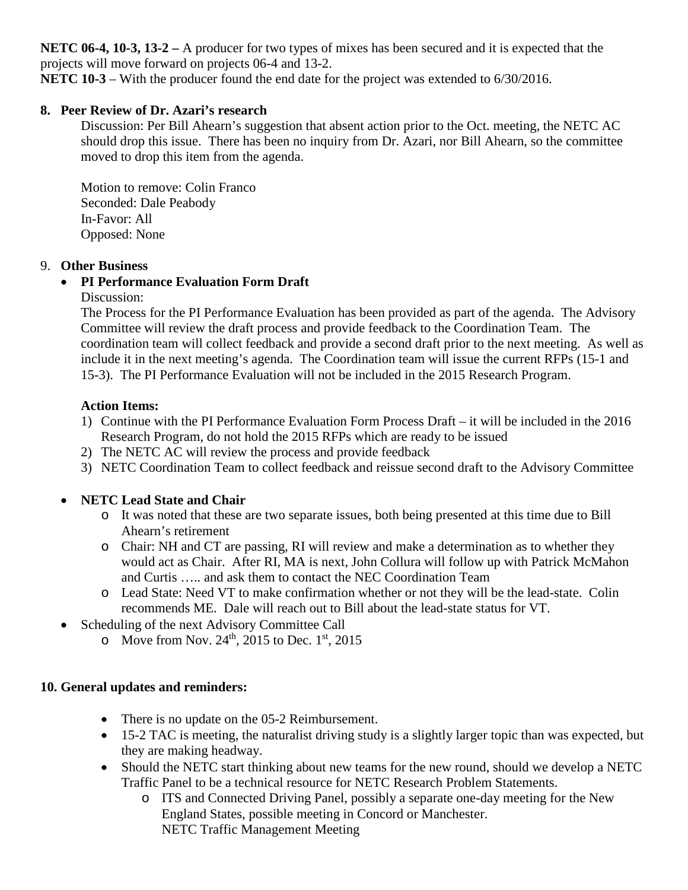**NETC 06-4, 10-3, 13-2 –** A producer for two types of mixes has been secured and it is expected that the projects will move forward on projects 06-4 and 13-2.

**NETC 10-3** – With the producer found the end date for the project was extended to 6/30/2016.

# **8. Peer Review of Dr. Azari's research**

Discussion: Per Bill Ahearn's suggestion that absent action prior to the Oct. meeting, the NETC AC should drop this issue. There has been no inquiry from Dr. Azari, nor Bill Ahearn, so the committee moved to drop this item from the agenda.

Motion to remove: Colin Franco Seconded: Dale Peabody In-Favor: All Opposed: None

### 9. **Other Business**

# • **PI Performance Evaluation Form Draft**

Discussion:

The Process for the PI Performance Evaluation has been provided as part of the agenda. The Advisory Committee will review the draft process and provide feedback to the Coordination Team. The coordination team will collect feedback and provide a second draft prior to the next meeting. As well as include it in the next meeting's agenda. The Coordination team will issue the current RFPs (15-1 and 15-3). The PI Performance Evaluation will not be included in the 2015 Research Program.

### **Action Items:**

- 1) Continue with the PI Performance Evaluation Form Process Draft it will be included in the 2016 Research Program, do not hold the 2015 RFPs which are ready to be issued
- 2) The NETC AC will review the process and provide feedback
- 3) NETC Coordination Team to collect feedback and reissue second draft to the Advisory Committee

# • **NETC Lead State and Chair**

- o It was noted that these are two separate issues, both being presented at this time due to Bill Ahearn's retirement
- o Chair: NH and CT are passing, RI will review and make a determination as to whether they would act as Chair. After RI, MA is next, John Collura will follow up with Patrick McMahon and Curtis ….. and ask them to contact the NEC Coordination Team
- o Lead State: Need VT to make confirmation whether or not they will be the lead-state. Colin recommends ME. Dale will reach out to Bill about the lead-state status for VT.
- Scheduling of the next Advisory Committee Call
	- $\circ$  Move from Nov. 24<sup>th</sup>, 2015 to Dec. 1<sup>st</sup>, 2015

### **10. General updates and reminders:**

- There is no update on the 05-2 Reimbursement.
- 15-2 TAC is meeting, the naturalist driving study is a slightly larger topic than was expected, but they are making headway.
- Should the NETC start thinking about new teams for the new round, should we develop a NETC Traffic Panel to be a technical resource for NETC Research Problem Statements.
	- o ITS and Connected Driving Panel, possibly a separate one-day meeting for the New England States, possible meeting in Concord or Manchester. NETC Traffic Management Meeting